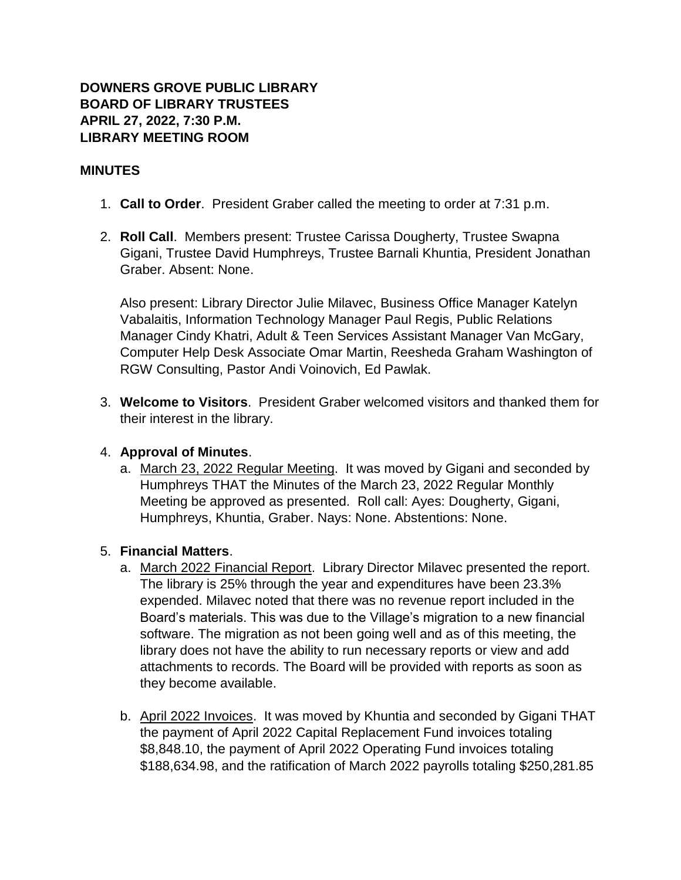## **DOWNERS GROVE PUBLIC LIBRARY BOARD OF LIBRARY TRUSTEES APRIL 27, 2022, 7:30 P.M. LIBRARY MEETING ROOM**

### **MINUTES**

- 1. **Call to Order**. President Graber called the meeting to order at 7:31 p.m.
- 2. **Roll Call**. Members present: Trustee Carissa Dougherty, Trustee Swapna Gigani, Trustee David Humphreys, Trustee Barnali Khuntia, President Jonathan Graber. Absent: None.

Also present: Library Director Julie Milavec, Business Office Manager Katelyn Vabalaitis, Information Technology Manager Paul Regis, Public Relations Manager Cindy Khatri, Adult & Teen Services Assistant Manager Van McGary, Computer Help Desk Associate Omar Martin, Reesheda Graham Washington of RGW Consulting, Pastor Andi Voinovich, Ed Pawlak.

3. **Welcome to Visitors**. President Graber welcomed visitors and thanked them for their interest in the library.

### 4. **Approval of Minutes**.

a. March 23, 2022 Regular Meeting. It was moved by Gigani and seconded by Humphreys THAT the Minutes of the March 23, 2022 Regular Monthly Meeting be approved as presented. Roll call: Ayes: Dougherty, Gigani, Humphreys, Khuntia, Graber. Nays: None. Abstentions: None.

### 5. **Financial Matters**.

- a. March 2022 Financial Report. Library Director Milavec presented the report. The library is 25% through the year and expenditures have been 23.3% expended. Milavec noted that there was no revenue report included in the Board's materials. This was due to the Village's migration to a new financial software. The migration as not been going well and as of this meeting, the library does not have the ability to run necessary reports or view and add attachments to records. The Board will be provided with reports as soon as they become available.
- b. April 2022 Invoices. It was moved by Khuntia and seconded by Gigani THAT the payment of April 2022 Capital Replacement Fund invoices totaling \$8,848.10, the payment of April 2022 Operating Fund invoices totaling \$188,634.98, and the ratification of March 2022 payrolls totaling \$250,281.85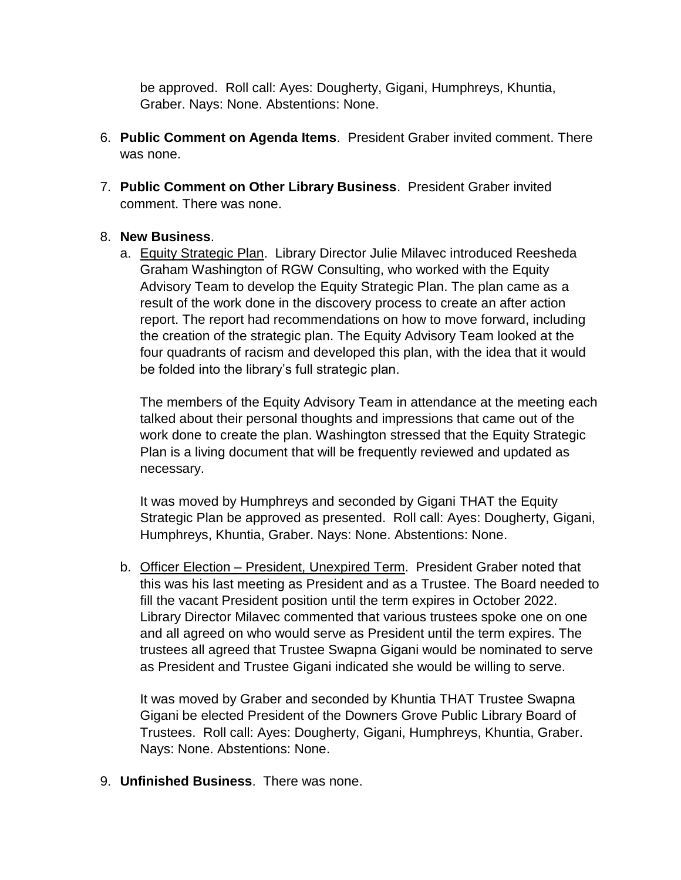be approved. Roll call: Ayes: Dougherty, Gigani, Humphreys, Khuntia, Graber. Nays: None. Abstentions: None.

- 6. **Public Comment on Agenda Items**. President Graber invited comment. There was none.
- 7. **Public Comment on Other Library Business**. President Graber invited comment. There was none.

# 8. **New Business**.

a. Equity Strategic Plan. Library Director Julie Milavec introduced Reesheda Graham Washington of RGW Consulting, who worked with the Equity Advisory Team to develop the Equity Strategic Plan. The plan came as a result of the work done in the discovery process to create an after action report. The report had recommendations on how to move forward, including the creation of the strategic plan. The Equity Advisory Team looked at the four quadrants of racism and developed this plan, with the idea that it would be folded into the library's full strategic plan.

The members of the Equity Advisory Team in attendance at the meeting each talked about their personal thoughts and impressions that came out of the work done to create the plan. Washington stressed that the Equity Strategic Plan is a living document that will be frequently reviewed and updated as necessary.

It was moved by Humphreys and seconded by Gigani THAT the Equity Strategic Plan be approved as presented. Roll call: Ayes: Dougherty, Gigani, Humphreys, Khuntia, Graber. Nays: None. Abstentions: None.

b. Officer Election – President, Unexpired Term. President Graber noted that this was his last meeting as President and as a Trustee. The Board needed to fill the vacant President position until the term expires in October 2022. Library Director Milavec commented that various trustees spoke one on one and all agreed on who would serve as President until the term expires. The trustees all agreed that Trustee Swapna Gigani would be nominated to serve as President and Trustee Gigani indicated she would be willing to serve.

It was moved by Graber and seconded by Khuntia THAT Trustee Swapna Gigani be elected President of the Downers Grove Public Library Board of Trustees. Roll call: Ayes: Dougherty, Gigani, Humphreys, Khuntia, Graber. Nays: None. Abstentions: None.

9. **Unfinished Business**. There was none.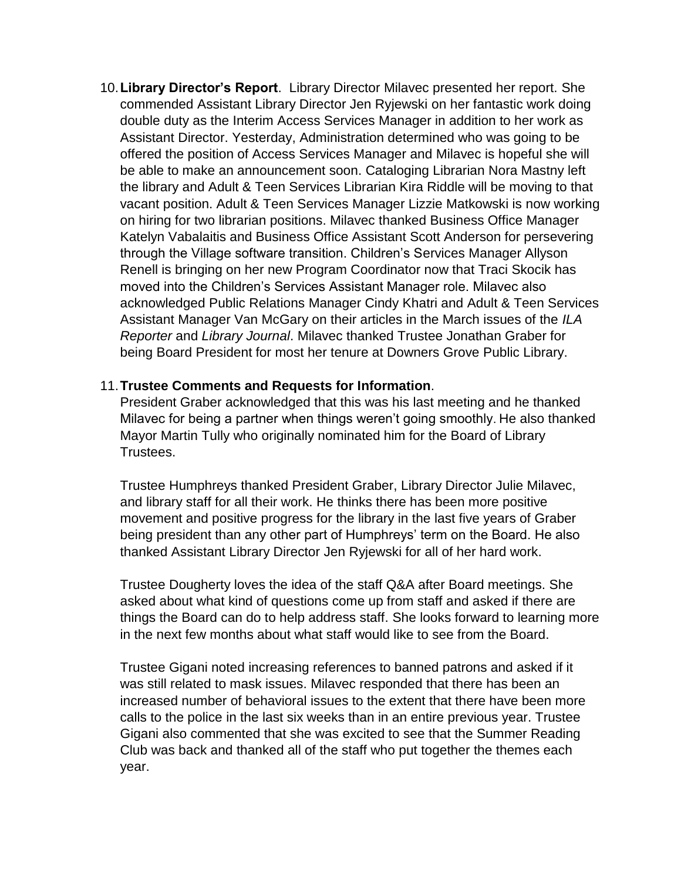10.**Library Director's Report**. Library Director Milavec presented her report. She commended Assistant Library Director Jen Ryjewski on her fantastic work doing double duty as the Interim Access Services Manager in addition to her work as Assistant Director. Yesterday, Administration determined who was going to be offered the position of Access Services Manager and Milavec is hopeful she will be able to make an announcement soon. Cataloging Librarian Nora Mastny left the library and Adult & Teen Services Librarian Kira Riddle will be moving to that vacant position. Adult & Teen Services Manager Lizzie Matkowski is now working on hiring for two librarian positions. Milavec thanked Business Office Manager Katelyn Vabalaitis and Business Office Assistant Scott Anderson for persevering through the Village software transition. Children's Services Manager Allyson Renell is bringing on her new Program Coordinator now that Traci Skocik has moved into the Children's Services Assistant Manager role. Milavec also acknowledged Public Relations Manager Cindy Khatri and Adult & Teen Services Assistant Manager Van McGary on their articles in the March issues of the *ILA Reporter* and *Library Journal*. Milavec thanked Trustee Jonathan Graber for being Board President for most her tenure at Downers Grove Public Library.

### 11.**Trustee Comments and Requests for Information**.

President Graber acknowledged that this was his last meeting and he thanked Milavec for being a partner when things weren't going smoothly. He also thanked Mayor Martin Tully who originally nominated him for the Board of Library Trustees.

Trustee Humphreys thanked President Graber, Library Director Julie Milavec, and library staff for all their work. He thinks there has been more positive movement and positive progress for the library in the last five years of Graber being president than any other part of Humphreys' term on the Board. He also thanked Assistant Library Director Jen Ryjewski for all of her hard work.

Trustee Dougherty loves the idea of the staff Q&A after Board meetings. She asked about what kind of questions come up from staff and asked if there are things the Board can do to help address staff. She looks forward to learning more in the next few months about what staff would like to see from the Board.

Trustee Gigani noted increasing references to banned patrons and asked if it was still related to mask issues. Milavec responded that there has been an increased number of behavioral issues to the extent that there have been more calls to the police in the last six weeks than in an entire previous year. Trustee Gigani also commented that she was excited to see that the Summer Reading Club was back and thanked all of the staff who put together the themes each year.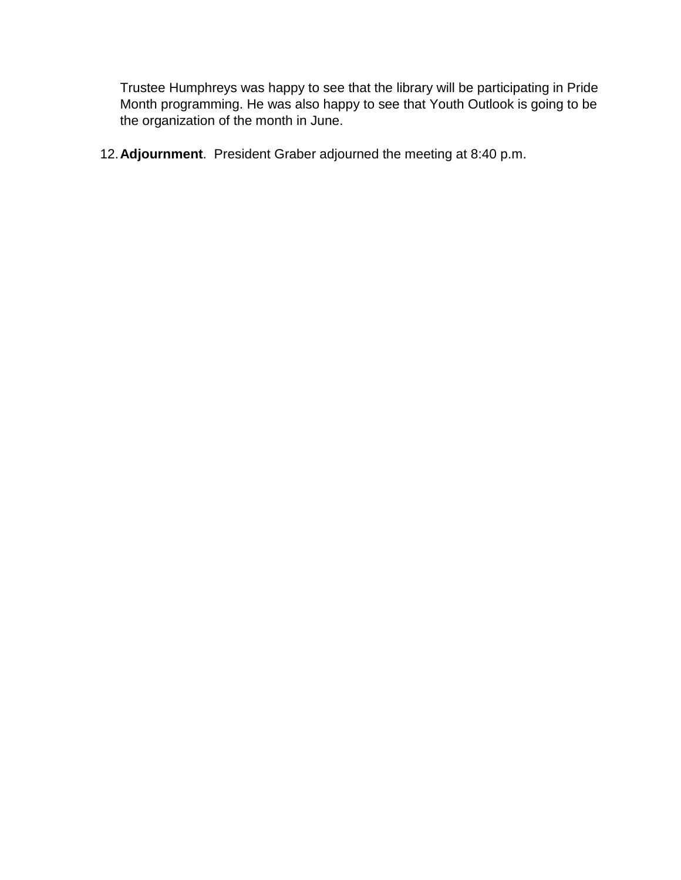Trustee Humphreys was happy to see that the library will be participating in Pride Month programming. He was also happy to see that Youth Outlook is going to be the organization of the month in June.

12.**Adjournment**. President Graber adjourned the meeting at 8:40 p.m.